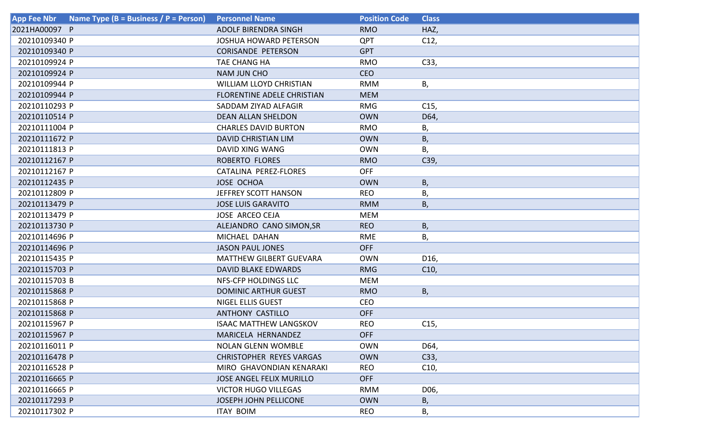| Name Type (B = Business / P = Person)<br><b>App Fee Nbr</b> | <b>Personnel Name</b>             | <b>Position Code</b> | <b>Class</b>    |
|-------------------------------------------------------------|-----------------------------------|----------------------|-----------------|
| 2021HA00097 P                                               | <b>ADOLF BIRENDRA SINGH</b>       | <b>RMO</b>           | HAZ,            |
| 20210109340 P                                               | <b>JOSHUA HOWARD PETERSON</b>     | <b>QPT</b>           | C12,            |
| 20210109340 P                                               | <b>CORISANDE PETERSON</b>         | <b>GPT</b>           |                 |
| 20210109924 P                                               | TAE CHANG HA                      | <b>RMO</b>           | C33,            |
| 20210109924 P                                               | <b>NAM JUN CHO</b>                | <b>CEO</b>           |                 |
| 20210109944 P                                               | <b>WILLIAM LLOYD CHRISTIAN</b>    | <b>RMM</b>           | В,              |
| 20210109944 P                                               | <b>FLORENTINE ADELE CHRISTIAN</b> | <b>MEM</b>           |                 |
| 20210110293 P                                               | SADDAM ZIYAD ALFAGIR              | <b>RMG</b>           | C <sub>15</sub> |
| 20210110514 P                                               | <b>DEAN ALLAN SHELDON</b>         | <b>OWN</b>           | D64,            |
| 20210111004 P                                               | <b>CHARLES DAVID BURTON</b>       | <b>RMO</b>           | Β,              |
| 20210111672 P                                               | <b>DAVID CHRISTIAN LIM</b>        | <b>OWN</b>           | B,              |
| 20210111813 P                                               | DAVID XING WANG                   | <b>OWN</b>           | Β,              |
| 20210112167 P                                               | ROBERTO FLORES                    | <b>RMO</b>           | C39,            |
| 20210112167 P                                               | CATALINA PEREZ-FLORES             | <b>OFF</b>           |                 |
| 20210112435 P                                               | <b>JOSE OCHOA</b>                 | <b>OWN</b>           | B,              |
| 20210112809 P                                               | JEFFREY SCOTT HANSON              | <b>REO</b>           | В,              |
| 20210113479 P                                               | <b>JOSE LUIS GARAVITO</b>         | <b>RMM</b>           | Β,              |
| 20210113479 P                                               | <b>JOSE ARCEO CEJA</b>            | <b>MEM</b>           |                 |
| 20210113730 P                                               | ALEJANDRO CANO SIMON, SR          | <b>REO</b>           | B,              |
| 20210114696 P                                               | MICHAEL DAHAN                     | RME                  | В,              |
| 20210114696 P                                               | <b>JASON PAUL JONES</b>           | <b>OFF</b>           |                 |
| 20210115435 P                                               | <b>MATTHEW GILBERT GUEVARA</b>    | <b>OWN</b>           | D <sub>16</sub> |
| 20210115703 P                                               | <b>DAVID BLAKE EDWARDS</b>        | <b>RMG</b>           | C10,            |
| 20210115703 B                                               | NFS-CFP HOLDINGS LLC              | <b>MEM</b>           |                 |
| 20210115868 P                                               | <b>DOMINIC ARTHUR GUEST</b>       | <b>RMO</b>           | В,              |
| 20210115868 P                                               | <b>NIGEL ELLIS GUEST</b>          | <b>CEO</b>           |                 |
| 20210115868 P                                               | <b>ANTHONY CASTILLO</b>           | <b>OFF</b>           |                 |
| 20210115967 P                                               | <b>ISAAC MATTHEW LANGSKOV</b>     | <b>REO</b>           | C15,            |
| 20210115967 P                                               | MARICELA HERNANDEZ                | <b>OFF</b>           |                 |
| 20210116011 P                                               | <b>NOLAN GLENN WOMBLE</b>         | <b>OWN</b>           | D64,            |
| 20210116478 P                                               | <b>CHRISTOPHER REYES VARGAS</b>   | <b>OWN</b>           | C33,            |
| 20210116528 P                                               | MIRO GHAVONDIAN KENARAKI          | <b>REO</b>           | C10,            |
| 20210116665 P                                               | <b>JOSE ANGEL FELIX MURILLO</b>   | <b>OFF</b>           |                 |
| 20210116665 P                                               | <b>VICTOR HUGO VILLEGAS</b>       | <b>RMM</b>           | D06,            |
| 20210117293 P                                               | <b>JOSEPH JOHN PELLICONE</b>      | <b>OWN</b>           | В,              |
| 20210117302 P                                               | <b>ITAY BOIM</b>                  | <b>REO</b>           | В,              |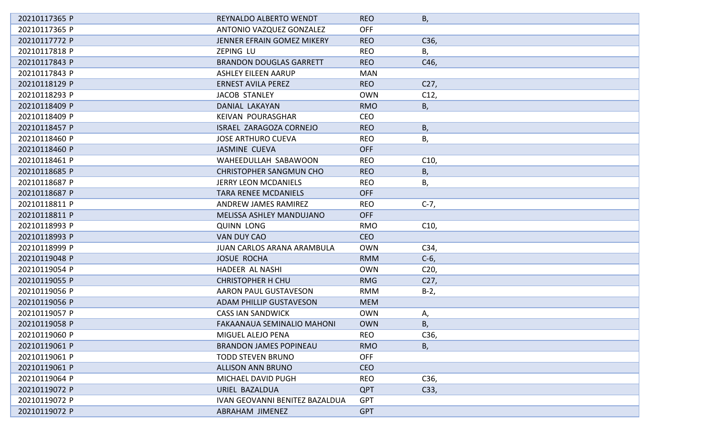| 20210117365 P | REYNALDO ALBERTO WENDT                | <b>REO</b> | В,              |
|---------------|---------------------------------------|------------|-----------------|
| 20210117365 P | ANTONIO VAZQUEZ GONZALEZ              | <b>OFF</b> |                 |
| 20210117772 P | JENNER EFRAIN GOMEZ MIKERY            | <b>REO</b> | C36,            |
| 20210117818 P | ZEPING LU                             | <b>REO</b> | В,              |
| 20210117843 P | <b>BRANDON DOUGLAS GARRETT</b>        | <b>REO</b> | C46,            |
| 20210117843 P | <b>ASHLEY EILEEN AARUP</b>            | <b>MAN</b> |                 |
| 20210118129 P | <b>ERNEST AVILA PEREZ</b>             | <b>REO</b> | C27,            |
| 20210118293 P | <b>JACOB STANLEY</b>                  | <b>OWN</b> | C12,            |
| 20210118409 P | DANIAL LAKAYAN                        | <b>RMO</b> | В,              |
| 20210118409 P | KEIVAN POURASGHAR                     | <b>CEO</b> |                 |
| 20210118457 P | ISRAEL ZARAGOZA CORNEJO               | <b>REO</b> | В,              |
| 20210118460 P | <b>JOSE ARTHURO CUEVA</b>             | <b>REO</b> | В,              |
| 20210118460 P | <b>JASMINE CUEVA</b>                  | <b>OFF</b> |                 |
| 20210118461 P | WAHEEDULLAH SABAWOON                  | <b>REO</b> | C10,            |
| 20210118685 P | <b>CHRISTOPHER SANGMUN CHO</b>        | <b>REO</b> | В,              |
| 20210118687 P | <b>JERRY LEON MCDANIELS</b>           | <b>REO</b> | В,              |
| 20210118687 P | <b>TARA RENEE MCDANIELS</b>           | <b>OFF</b> |                 |
| 20210118811 P | ANDREW JAMES RAMIREZ                  | <b>REO</b> | $C-7,$          |
| 20210118811 P | MELISSA ASHLEY MANDUJANO              | <b>OFF</b> |                 |
| 20210118993 P | <b>QUINN LONG</b>                     | <b>RMO</b> | C10,            |
| 20210118993 P | VAN DUY CAO                           | <b>CEO</b> |                 |
| 20210118999 P | JUAN CARLOS ARANA ARAMBULA            | <b>OWN</b> | C34,            |
| 20210119048 P | <b>JOSUE ROCHA</b>                    | <b>RMM</b> | $C-6$           |
| 20210119054 P | HADEER AL NASHI                       | <b>OWN</b> | C <sub>20</sub> |
| 20210119055 P | <b>CHRISTOPHER H CHU</b>              | <b>RMG</b> | C27,            |
| 20210119056 P | AARON PAUL GUSTAVESON                 | <b>RMM</b> | $B-2,$          |
| 20210119056 P | <b>ADAM PHILLIP GUSTAVESON</b>        | <b>MEM</b> |                 |
| 20210119057 P | <b>CASS IAN SANDWICK</b>              | <b>OWN</b> | А,              |
| 20210119058 P | <b>FAKAANAUA SEMINALIO MAHONI</b>     | <b>OWN</b> | В,              |
| 20210119060 P | MIGUEL ALEJO PENA                     | <b>REO</b> | C36,            |
| 20210119061 P | <b>BRANDON JAMES POPINEAU</b>         | <b>RMO</b> | В,              |
| 20210119061 P | <b>TODD STEVEN BRUNO</b>              | <b>OFF</b> |                 |
| 20210119061 P | <b>ALLISON ANN BRUNO</b>              | <b>CEO</b> |                 |
| 20210119064 P | MICHAEL DAVID PUGH                    | <b>REO</b> | C36,            |
| 20210119072 P | URIEL BAZALDUA                        | <b>QPT</b> | C33,            |
| 20210119072 P | <b>IVAN GEOVANNI BENITEZ BAZALDUA</b> | <b>GPT</b> |                 |
| 20210119072 P | ABRAHAM JIMENEZ                       | <b>GPT</b> |                 |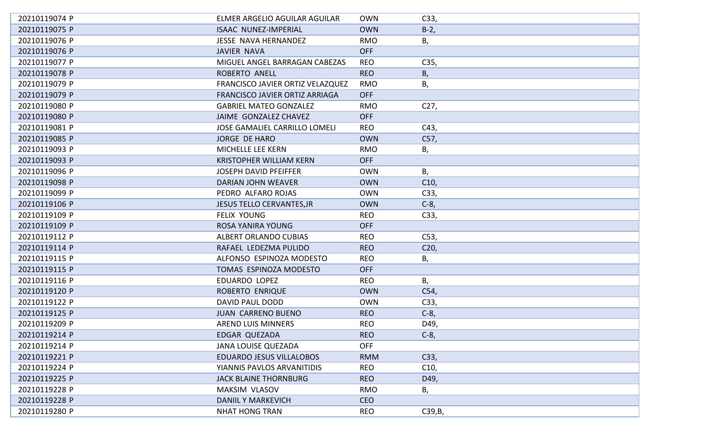| 20210119074 P | ELMER ARGELIO AGUILAR AGUILAR        | <b>OWN</b> | C33,            |
|---------------|--------------------------------------|------------|-----------------|
| 20210119075 P | <b>ISAAC NUNEZ-IMPERIAL</b>          | <b>OWN</b> | $B-2$ ,         |
| 20210119076 P | JESSE NAVA HERNANDEZ                 | <b>RMO</b> | В,              |
| 20210119076 P | <b>JAVIER NAVA</b>                   | <b>OFF</b> |                 |
| 20210119077 P | MIGUEL ANGEL BARRAGAN CABEZAS        | <b>REO</b> | C35,            |
| 20210119078 P | ROBERTO ANELL                        | <b>REO</b> | Β,              |
| 20210119079 P | FRANCISCO JAVIER ORTIZ VELAZQUEZ     | <b>RMO</b> | В,              |
| 20210119079 P | FRANCISCO JAVIER ORTIZ ARRIAGA       | <b>OFF</b> |                 |
| 20210119080 P | <b>GABRIEL MATEO GONZALEZ</b>        | <b>RMO</b> | C <sub>27</sub> |
| 20210119080 P | JAIME GONZALEZ CHAVEZ                | <b>OFF</b> |                 |
| 20210119081 P | <b>JOSE GAMALIEL CARRILLO LOMELI</b> | <b>REO</b> | C43,            |
| 20210119085 P | JORGE DE HARO                        | <b>OWN</b> | C57,            |
| 20210119093 P | MICHELLE LEE KERN                    | <b>RMO</b> | В,              |
| 20210119093 P | <b>KRISTOPHER WILLIAM KERN</b>       | <b>OFF</b> |                 |
| 20210119096 P | <b>JOSEPH DAVID PFEIFFER</b>         | <b>OWN</b> | В,              |
| 20210119098 P | DARIAN JOHN WEAVER                   | <b>OWN</b> | C10,            |
| 20210119099 P | PEDRO ALFARO ROJAS                   | <b>OWN</b> | C33,            |
| 20210119106 P | <b>JESUS TELLO CERVANTES, JR</b>     | <b>OWN</b> | $C-8$ ,         |
| 20210119109 P | <b>FELIX YOUNG</b>                   | <b>REO</b> | C33,            |
| 20210119109 P | ROSA YANIRA YOUNG                    | <b>OFF</b> |                 |
| 20210119112 P | ALBERT ORLANDO CUBIAS                | <b>REO</b> | C <sub>53</sub> |
| 20210119114 P | RAFAEL LEDEZMA PULIDO                | <b>REO</b> | C <sub>20</sub> |
| 20210119115 P | ALFONSO ESPINOZA MODESTO             | <b>REO</b> | Β,              |
| 20210119115 P | TOMAS ESPINOZA MODESTO               | <b>OFF</b> |                 |
| 20210119116 P | EDUARDO LOPEZ                        | <b>REO</b> | Β,              |
| 20210119120 P | ROBERTO ENRIQUE                      | <b>OWN</b> | C54,            |
| 20210119122 P | DAVID PAUL DODD                      | <b>OWN</b> | C33,            |
| 20210119125 P | <b>JUAN CARRENO BUENO</b>            | <b>REO</b> | $C-8$ ,         |
| 20210119209 P | <b>AREND LUIS MINNERS</b>            | <b>REO</b> | D49             |
| 20210119214 P | EDGAR QUEZADA                        | <b>REO</b> | $C-8,$          |
| 20210119214 P | <b>JANA LOUISE QUEZADA</b>           | <b>OFF</b> |                 |
| 20210119221 P | <b>EDUARDO JESUS VILLALOBOS</b>      | <b>RMM</b> | C33,            |
| 20210119224 P | YIANNIS PAVLOS ARVANITIDIS           | <b>REO</b> | C10,            |
| 20210119225 P | <b>JACK BLAINE THORNBURG</b>         | <b>REO</b> | D49,            |
| 20210119228 P | <b>MAKSIM VLASOV</b>                 | <b>RMO</b> | В,              |
| 20210119228 P | <b>DANIIL Y MARKEVICH</b>            | <b>CEO</b> |                 |
| 20210119280 P | <b>NHAT HONG TRAN</b>                | <b>REO</b> | C39, B,         |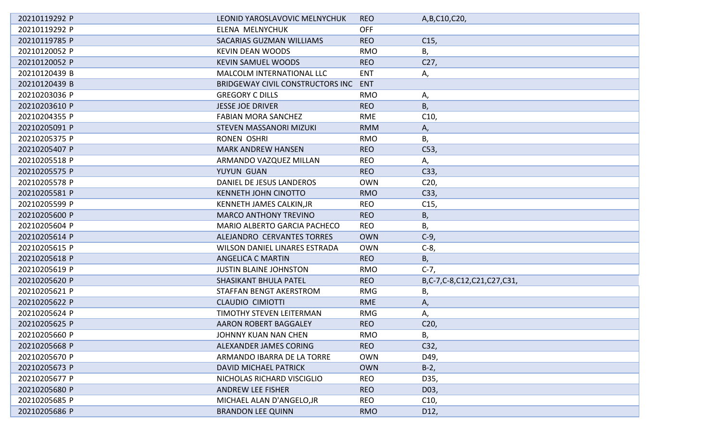| 20210119292 P | LEONID YAROSLAVOVIC MELNYCHUK        | <b>REO</b> | A, B, C10, C20,            |
|---------------|--------------------------------------|------------|----------------------------|
| 20210119292 P | ELENA MELNYCHUK                      | <b>OFF</b> |                            |
| 20210119785 P | <b>SACARIAS GUZMAN WILLIAMS</b>      | <b>REO</b> | C <sub>15</sub>            |
| 20210120052 P | <b>KEVIN DEAN WOODS</b>              | <b>RMO</b> | В,                         |
| 20210120052 P | <b>KEVIN SAMUEL WOODS</b>            | <b>REO</b> | C27,                       |
| 20210120439 B | <b>MALCOLM INTERNATIONAL LLC</b>     | <b>ENT</b> | Α,                         |
| 20210120439 B | BRIDGEWAY CIVIL CONSTRUCTORS INC     | <b>ENT</b> |                            |
| 20210203036 P | <b>GREGORY C DILLS</b>               | <b>RMO</b> | Α,                         |
| 20210203610 P | <b>JESSE JOE DRIVER</b>              | <b>REO</b> | В,                         |
| 20210204355 P | <b>FABIAN MORA SANCHEZ</b>           | <b>RME</b> | C10,                       |
| 20210205091 P | <b>STEVEN MASSANORI MIZUKI</b>       | <b>RMM</b> | Α,                         |
| 20210205375 P | RONEN OSHRI                          | <b>RMO</b> | В,                         |
| 20210205407 P | <b>MARK ANDREW HANSEN</b>            | <b>REO</b> | C53,                       |
| 20210205518 P | ARMANDO VAZQUEZ MILLAN               | <b>REO</b> | А,                         |
| 20210205575 P | YUYUN GUAN                           | <b>REO</b> | C33,                       |
| 20210205578 P | DANIEL DE JESUS LANDEROS             | <b>OWN</b> | C <sub>20</sub>            |
| 20210205581 P | <b>KENNETH JOHN CINOTTO</b>          | <b>RMO</b> | C33,                       |
| 20210205599 P | KENNETH JAMES CALKIN, JR             | <b>REO</b> | C15,                       |
| 20210205600 P | <b>MARCO ANTHONY TREVINO</b>         | <b>REO</b> | В,                         |
| 20210205604 P | MARIO ALBERTO GARCIA PACHECO         | <b>REO</b> | Β,                         |
| 20210205614 P | ALEJANDRO CERVANTES TORRES           | <b>OWN</b> | $C-9$                      |
| 20210205615 P | <b>WILSON DANIEL LINARES ESTRADA</b> | <b>OWN</b> | $C-8$ ,                    |
| 20210205618 P | <b>ANGELICA C MARTIN</b>             | <b>REO</b> | В,                         |
| 20210205619 P | <b>JUSTIN BLAINE JOHNSTON</b>        | <b>RMO</b> | $C-7,$                     |
| 20210205620 P | SHASIKANT BHULA PATEL                | <b>REO</b> | B,C-7,C-8,C12,C21,C27,C31, |
| 20210205621 P | STAFFAN BENGT AKERSTROM              | <b>RMG</b> | Β,                         |
| 20210205622 P | <b>CLAUDIO CIMIOTTI</b>              | <b>RME</b> | А,                         |
| 20210205624 P | TIMOTHY STEVEN LEITERMAN             | <b>RMG</b> | Α,                         |
| 20210205625 P | AARON ROBERT BAGGALEY                | <b>REO</b> | C <sub>20</sub>            |
| 20210205660 P | JOHNNY KUAN NAN CHEN                 | <b>RMO</b> | Β,                         |
| 20210205668 P | ALEXANDER JAMES CORING               | <b>REO</b> | C32,                       |
| 20210205670 P | ARMANDO IBARRA DE LA TORRE           | <b>OWN</b> | D49,                       |
| 20210205673 P | DAVID MICHAEL PATRICK                | <b>OWN</b> | $B-2$ ,                    |
| 20210205677 P | NICHOLAS RICHARD VISCIGLIO           | <b>REO</b> | D35,                       |
| 20210205680 P | <b>ANDREW LEE FISHER</b>             | <b>REO</b> | D03,                       |
| 20210205685 P | MICHAEL ALAN D'ANGELO, JR            | <b>REO</b> | C10,                       |
| 20210205686 P | <b>BRANDON LEE QUINN</b>             | <b>RMO</b> | D12,                       |